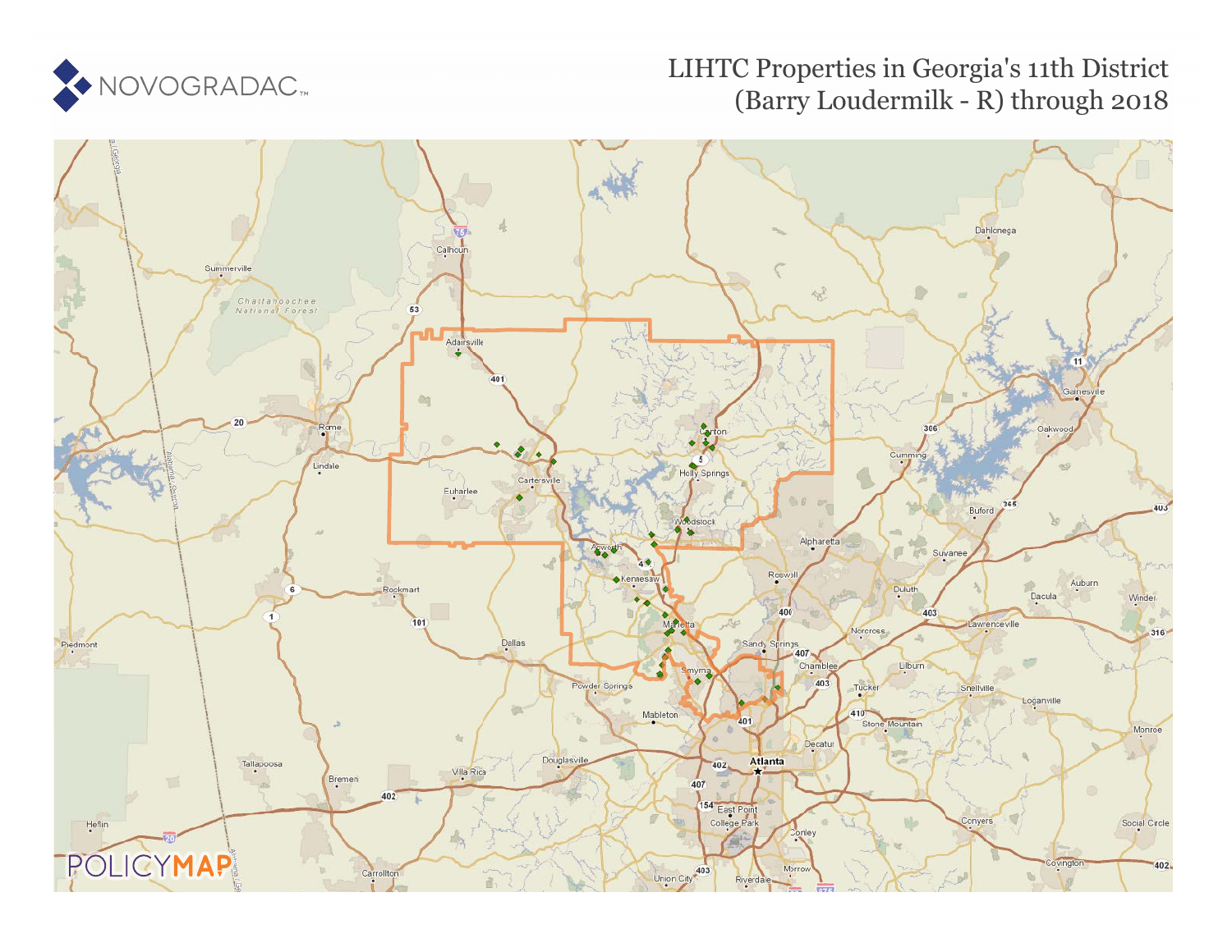

### LIHTC Properties in Georgia's 11th District (Barry Loudermilk - R) through 2018

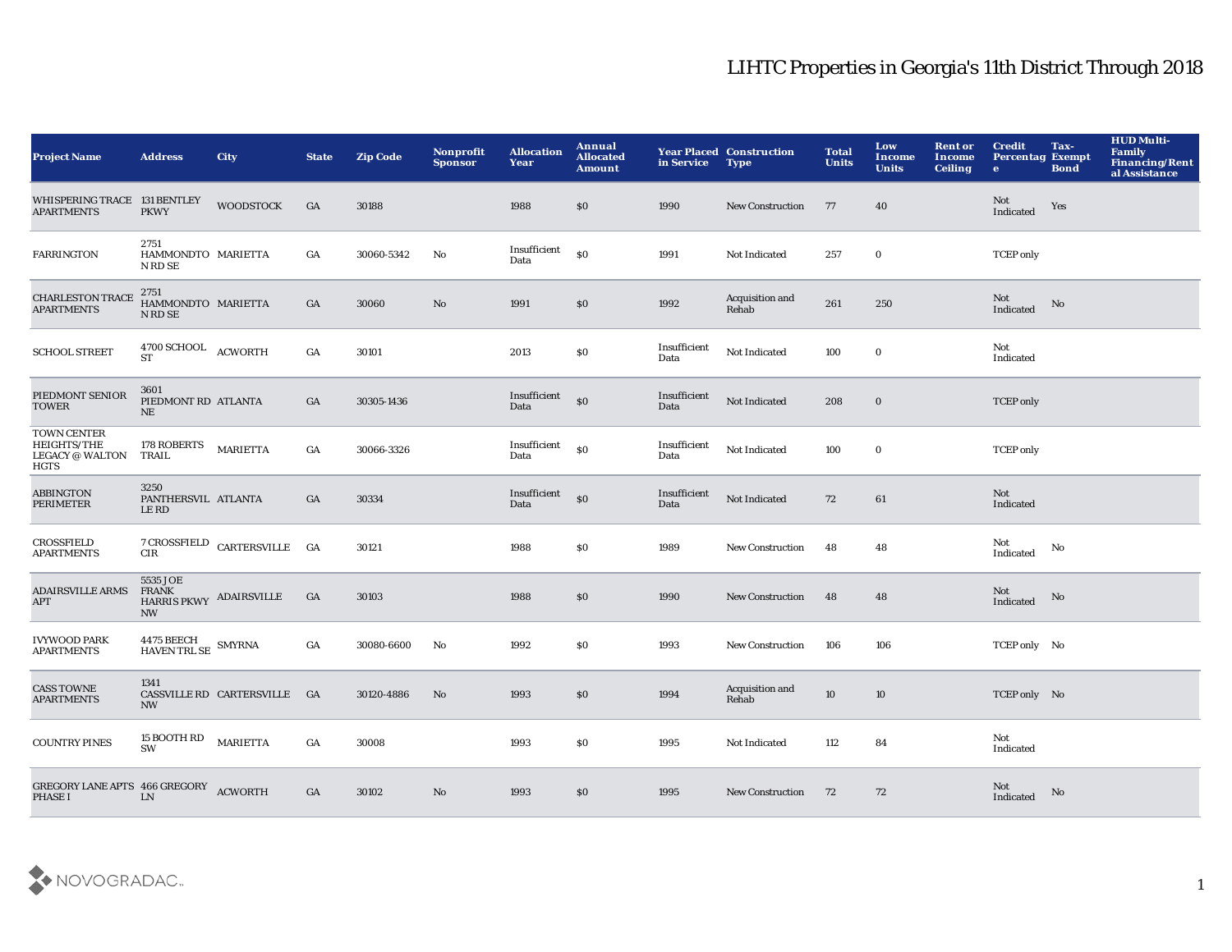| <b>Project Name</b>                                                 | <b>Address</b>                                                   | <b>City</b>                                                            | <b>State</b>     | <b>Zip Code</b> | Nonprofit<br><b>Sponsor</b> | <b>Allocation</b><br>Year | Annual<br><b>Allocated</b><br><b>Amount</b> | in Service           | <b>Year Placed Construction</b><br><b>Type</b> | <b>Total</b><br><b>Units</b> | Low<br>Income<br><b>Units</b> | <b>Rent or</b><br><b>Income</b><br><b>Ceiling</b> | <b>Credit</b><br><b>Percentag Exempt</b><br>$\bullet$ | Tax-<br><b>Bond</b> | <b>HUD Multi-</b><br><b>Family</b><br>Financing/Rent<br>al Assistance |
|---------------------------------------------------------------------|------------------------------------------------------------------|------------------------------------------------------------------------|------------------|-----------------|-----------------------------|---------------------------|---------------------------------------------|----------------------|------------------------------------------------|------------------------------|-------------------------------|---------------------------------------------------|-------------------------------------------------------|---------------------|-----------------------------------------------------------------------|
| WHISPERING TRACE 131 BENTLEY<br><b>APARTMENTS</b>                   | <b>PKWY</b>                                                      | <b>WOODSTOCK</b>                                                       | GA               | 30188           |                             | 1988                      | \$0                                         | 1990                 | <b>New Construction</b>                        | 77                           | 40                            |                                                   | Not<br>Indicated                                      | Yes                 |                                                                       |
| <b>FARRINGTON</b>                                                   | 2751<br>HAMMONDTO MARIETTA<br>N RD SE                            |                                                                        | $_{\mathrm{GA}}$ | 30060-5342      | No                          | Insufficient<br>Data      | $\mathbf{S}$                                | 1991                 | Not Indicated                                  | 257                          | $\bf{0}$                      |                                                   | <b>TCEP</b> only                                      |                     |                                                                       |
| <b>CHARLESTON TRACE</b><br><b>APARTMENTS</b>                        | 2751<br>HAMMONDTO MARIETTA<br>N RD SE                            |                                                                        | GA               | 30060           | $\mathbf{N}\mathbf{o}$      | 1991                      | \$0                                         | 1992                 | Acquisition and<br>Rehab                       | 261                          | 250                           |                                                   | Not<br>Indicated                                      | No                  |                                                                       |
| <b>SCHOOL STREET</b>                                                | $4700$ SCHOOL $\quad$ ACWORTH<br><b>ST</b>                       |                                                                        | $_{\mathrm{GA}}$ | 30101           |                             | 2013                      | \$0                                         | Insufficient<br>Data | Not Indicated                                  | 100                          | $\bf{0}$                      |                                                   | Not<br>Indicated                                      |                     |                                                                       |
| PIEDMONT SENIOR<br><b>TOWER</b>                                     | 3601<br>PIEDMONT RD ATLANTA<br>NE                                |                                                                        | GA               | 30305-1436      |                             | Insufficient<br>Data      | \$0                                         | Insufficient<br>Data | Not Indicated                                  | 208                          | $\mathbf 0$                   |                                                   | <b>TCEP</b> only                                      |                     |                                                                       |
| TOWN CENTER<br>HEIGHTS/THE<br><b>LEGACY @ WALTON</b><br><b>HGTS</b> | 178 ROBERTS<br>TRAIL                                             | <b>MARIETTA</b>                                                        | GA               | 30066-3326      |                             | Insufficient<br>Data      | \$0                                         | Insufficient<br>Data | Not Indicated                                  | 100                          | $\bf{0}$                      |                                                   | <b>TCEP</b> only                                      |                     |                                                                       |
| <b>ABBINGTON</b><br>PERIMETER                                       | 3250<br>PANTHERSVIL ATLANTA<br>LE RD                             |                                                                        | GA               | 30334           |                             | Insufficient<br>Data      | S <sub>0</sub>                              | Insufficient<br>Data | Not Indicated                                  | 72                           | 61                            |                                                   | Not<br>Indicated                                      |                     |                                                                       |
| <b>CROSSFIELD</b><br><b>APARTMENTS</b>                              | CIR                                                              | $\begin{tabular}{cc} 7 CROSSFIED & CARTERSVILLE & GA \\ \end{tabular}$ |                  | 30121           |                             | 1988                      | \$0                                         | 1989                 | <b>New Construction</b>                        | 48                           | 48                            |                                                   | Not<br>Indicated                                      | No                  |                                                                       |
| <b>ADAIRSVILLE ARMS</b><br>$\mbox{APT}$                             | 5535 JOE<br><b>FRANK</b><br>HARRIS PKWY ADAIRSVILLE<br><b>NW</b> |                                                                        | GA               | 30103           |                             | 1988                      | \$0                                         | 1990                 | <b>New Construction</b>                        | 48                           | 48                            |                                                   | Not<br>Indicated                                      | No                  |                                                                       |
| <b>IVYWOOD PARK</b><br><b>APARTMENTS</b>                            | $4475$ BEECH $$\tt SMYRNA$$ HAVEN TRL SE                         |                                                                        | GA               | 30080-6600      | No                          | 1992                      | \$0                                         | 1993                 | <b>New Construction</b>                        | 106                          | 106                           |                                                   | TCEP only No                                          |                     |                                                                       |
| <b>CASS TOWNE</b><br><b>APARTMENTS</b>                              | 1341<br><b>NW</b>                                                | CASSVILLE RD CARTERSVILLE GA                                           |                  | 30120-4886      | No                          | 1993                      | \$0                                         | 1994                 | Acquisition and<br>Rehab                       | 10                           | 10                            |                                                   | TCEP only No                                          |                     |                                                                       |
| <b>COUNTRY PINES</b>                                                | 15 BOOTH RD<br>SW                                                | <b>MARIETTA</b>                                                        | GA               | 30008           |                             | 1993                      | \$0                                         | 1995                 | Not Indicated                                  | 112                          | 84                            |                                                   | Not<br>Indicated                                      |                     |                                                                       |
| GREGORY LANE APTS 466 GREGORY ACWORTH<br><b>PHASE I</b>             | LN                                                               |                                                                        | GA               | 30102           | No                          | 1993                      | \$0                                         | 1995                 | <b>New Construction</b>                        | 72                           | 72                            |                                                   | Not<br>Indicated                                      | No                  |                                                                       |

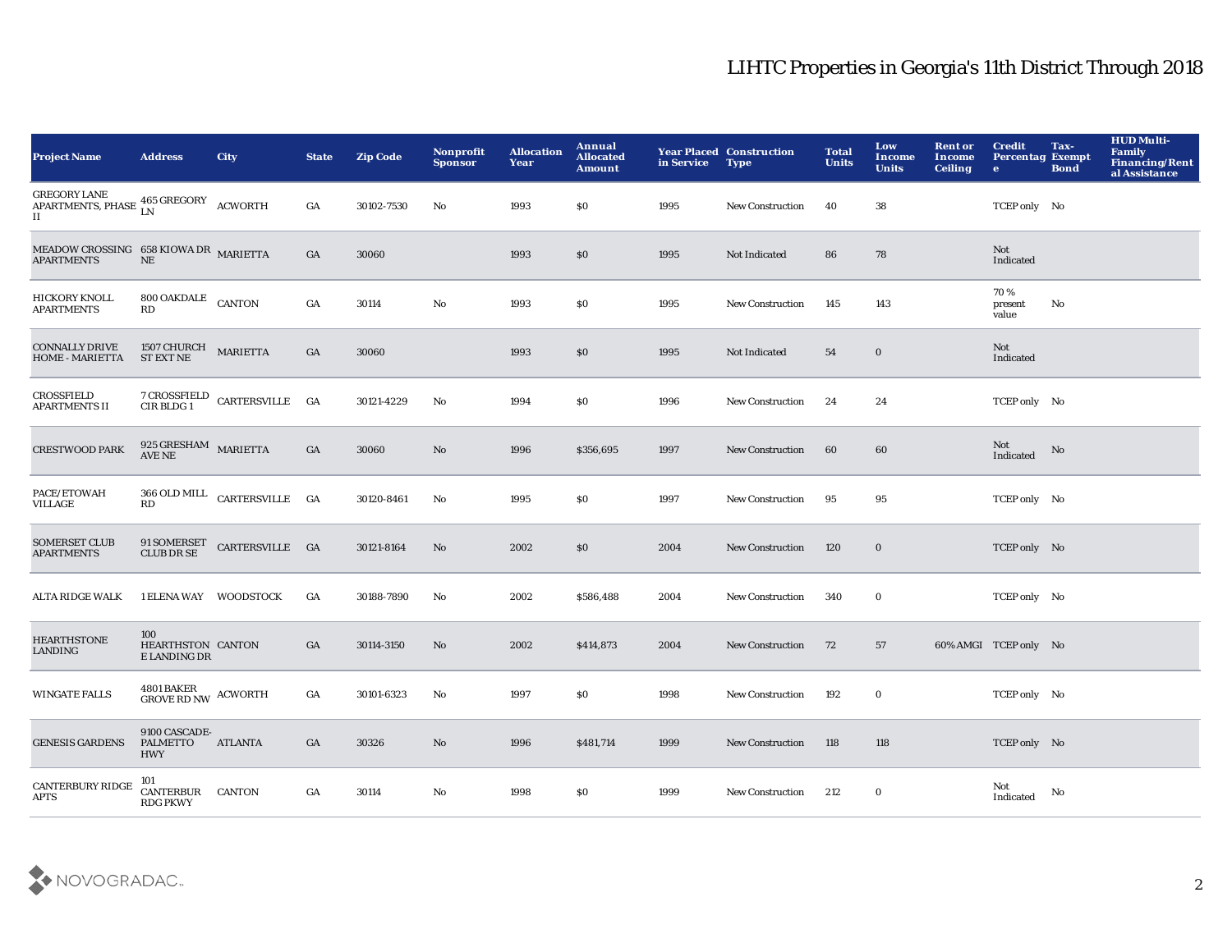| <b>Project Name</b>                                                         | <b>Address</b>                                     | City                                                       | <b>State</b> | <b>Zip Code</b> | Nonprofit<br><b>Sponsor</b> | <b>Allocation</b><br>Year | Annual<br><b>Allocated</b><br><b>Amount</b> | in Service | <b>Year Placed Construction</b><br><b>Type</b> | <b>Total</b><br><b>Units</b> | Low<br>Income<br><b>Units</b> | <b>Rent or</b><br>Income<br><b>Ceiling</b> | <b>Credit</b><br><b>Percentag Exempt</b><br>$\bullet$ | Tax-<br><b>Bond</b> | <b>HUD Multi-</b><br><b>Family</b><br><b>Financing/Rent</b><br>al Assistance |
|-----------------------------------------------------------------------------|----------------------------------------------------|------------------------------------------------------------|--------------|-----------------|-----------------------------|---------------------------|---------------------------------------------|------------|------------------------------------------------|------------------------------|-------------------------------|--------------------------------------------|-------------------------------------------------------|---------------------|------------------------------------------------------------------------------|
| <b>GREGORY LANE</b><br>APARTMENTS, PHASE 465 GREGORY ACWORTH<br>$_{\rm II}$ |                                                    |                                                            | GA           | 30102-7530      | No                          | 1993                      | <b>SO</b>                                   | 1995       | <b>New Construction</b>                        | 40                           | 38                            |                                            | TCEP only No                                          |                     |                                                                              |
| MEADOW CROSSING 658 KIOWA DR MARIETTA<br><b>APARTMENTS</b>                  | $\rm NE$                                           |                                                            | GA           | 30060           |                             | 1993                      | \$0                                         | 1995       | Not Indicated                                  | 86                           | 78                            |                                            | Not<br>Indicated                                      |                     |                                                                              |
| HICKORY KNOLL<br><b>APARTMENTS</b>                                          | 800 OAKDALE CANTON<br>RD                           |                                                            | GA           | 30114           | No                          | 1993                      | SO.                                         | 1995       | <b>New Construction</b>                        | 145                          | 143                           |                                            | 70%<br>present<br>value                               | No                  |                                                                              |
| <b>CONNALLY DRIVE</b><br><b>HOME - MARIETTA</b>                             | $1507$ CHURCH $$\tt MARIETTA$$<br><b>ST EXT NE</b> |                                                            | GA           | 30060           |                             | 1993                      | \$0                                         | 1995       | Not Indicated                                  | 54                           | $\bf{0}$                      |                                            | Not<br>Indicated                                      |                     |                                                                              |
| <b>CROSSFIELD</b><br><b>APARTMENTS II</b>                                   |                                                    | $7$ CROSSFIELD $\,$ CARTERSVILLE $\,$ GA $\,$ CIR BLDG $1$ |              | 30121-4229      | No                          | 1994                      | <b>SO</b>                                   | 1996       | <b>New Construction</b>                        | 24                           | 24                            |                                            | TCEP only No                                          |                     |                                                                              |
| <b>CRESTWOOD PARK</b>                                                       | $925~\mbox{G} \mbox{RESHAM}$ MARIETTA AVE NE       |                                                            | GA           | 30060           | No                          | 1996                      | \$356,695                                   | 1997       | <b>New Construction</b>                        | 60                           | 60                            |                                            | Not<br>Indicated                                      | No                  |                                                                              |
| PACE/ETOWAH<br><b>VILLAGE</b>                                               | RD                                                 | 366 OLD MILL CARTERSVILLE GA                               |              | 30120-8461      | No                          | 1995                      | <b>SO</b>                                   | 1997       | <b>New Construction</b>                        | 95                           | 95                            |                                            | TCEP only No                                          |                     |                                                                              |
| <b>SOMERSET CLUB</b><br><b>APARTMENTS</b>                                   | 91 SOMERSET<br>CLUB DR SE                          | CARTERSVILLE GA                                            |              | 30121-8164      | No                          | 2002                      | \$0                                         | 2004       | <b>New Construction</b>                        | 120                          | $\bf{0}$                      |                                            | TCEP only No                                          |                     |                                                                              |
| <b>ALTA RIDGE WALK</b>                                                      | 1 ELENA WAY WOODSTOCK                              |                                                            | GA           | 30188-7890      | No                          | 2002                      | \$586,488                                   | 2004       | <b>New Construction</b>                        | 340                          | $\bf{0}$                      |                                            | TCEP only No                                          |                     |                                                                              |
| <b>HEARTHSTONE</b><br>LANDING                                               | 100<br>HEARTHSTON CANTON<br>E LANDING DR           |                                                            | GA           | 30114-3150      | No                          | 2002                      | \$414,873                                   | 2004       | <b>New Construction</b>                        | 72                           | 57                            |                                            | 60% AMGI TCEP only No                                 |                     |                                                                              |
| <b>WINGATE FALLS</b>                                                        | $4801\, \mathtt{BAKER}$ ACWORTH GROVE RD NW        |                                                            | GA           | 30101-6323      | No                          | 1997                      | \$0                                         | 1998       | <b>New Construction</b>                        | 192                          | $\bf{0}$                      |                                            | TCEP only No                                          |                     |                                                                              |
| <b>GENESIS GARDENS</b>                                                      | 9100 CASCADE-<br>PALMETTO<br><b>HWY</b>            | <b>ATLANTA</b>                                             | GA           | 30326           | No                          | 1996                      | \$481,714                                   | 1999       | <b>New Construction</b>                        | 118                          | 118                           |                                            | TCEP only No                                          |                     |                                                                              |
| <b>CANTERBURY RIDGE</b><br><b>APTS</b>                                      | 101<br>CANTERBUR<br><b>RDG PKWY</b>                | <b>CANTON</b>                                              | GA           | 30114           | No                          | 1998                      | \$0                                         | 1999       | <b>New Construction</b>                        | 212                          | $\bf{0}$                      |                                            | Not<br>Indicated                                      | No                  |                                                                              |

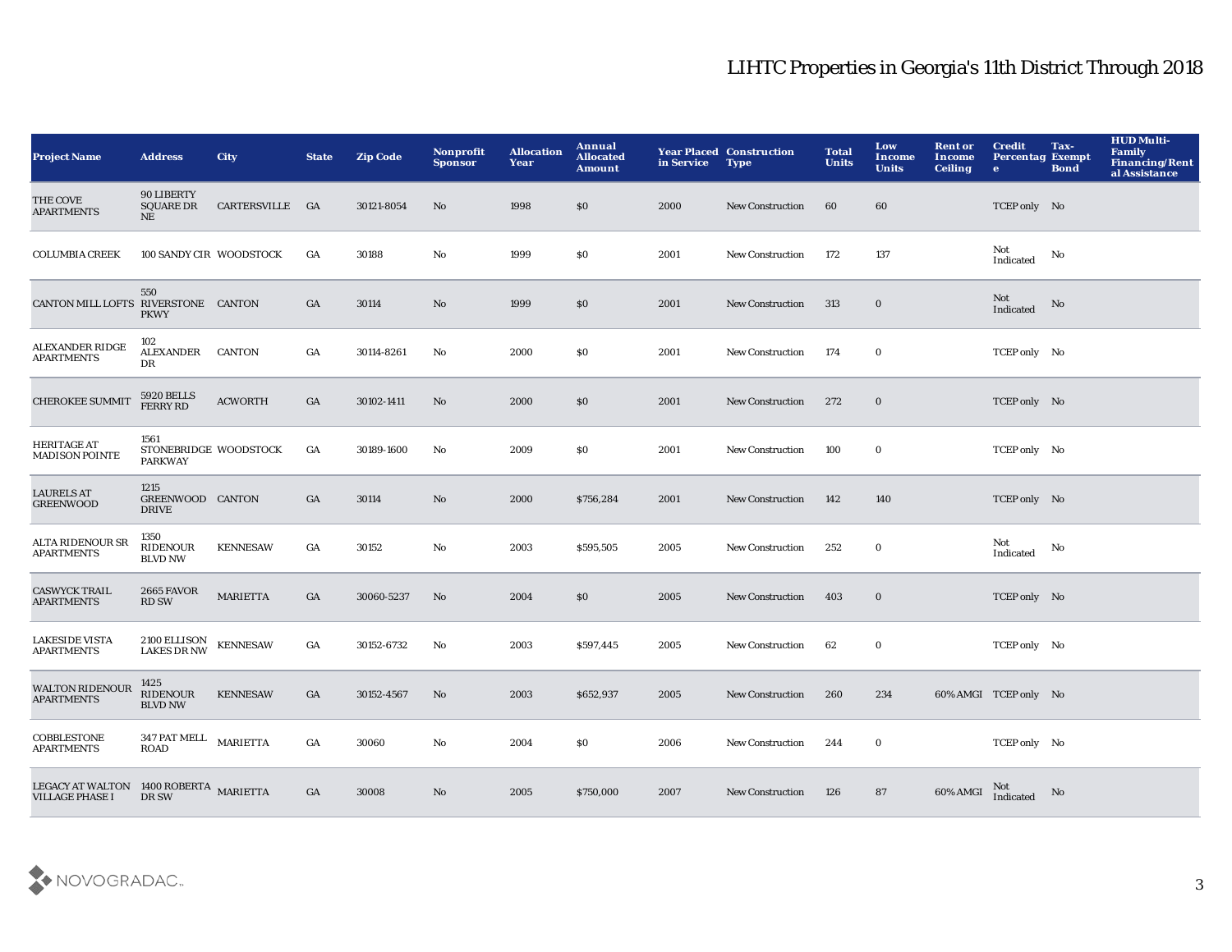| <b>Project Name</b>                                              | <b>Address</b>                                  | <b>City</b>     | <b>State</b>     | <b>Zip Code</b> | Nonprofit<br><b>Sponsor</b> | <b>Allocation</b><br>Year | Annual<br><b>Allocated</b><br><b>Amount</b> | in Service | <b>Year Placed Construction</b><br><b>Type</b> | <b>Total</b><br><b>Units</b> | Low<br>Income<br><b>Units</b> | <b>Rent or</b><br>Income<br><b>Ceiling</b> | <b>Credit</b><br><b>Percentag Exempt</b><br>$\bullet$ | Tax-<br><b>Bond</b> | <b>HUD Multi-</b><br><b>Family</b><br><b>Financing/Rent</b><br>al Assistance |
|------------------------------------------------------------------|-------------------------------------------------|-----------------|------------------|-----------------|-----------------------------|---------------------------|---------------------------------------------|------------|------------------------------------------------|------------------------------|-------------------------------|--------------------------------------------|-------------------------------------------------------|---------------------|------------------------------------------------------------------------------|
| THE COVE<br><b>APARTMENTS</b>                                    | 90 LIBERTY<br><b>SQUARE DR</b><br>NE            | CARTERSVILLE GA |                  | 30121-8054      | No                          | 1998                      | \$0                                         | 2000       | <b>New Construction</b>                        | 60                           | 60                            |                                            | TCEP only No                                          |                     |                                                                              |
| <b>COLUMBIA CREEK</b>                                            | 100 SANDY CIR WOODSTOCK                         |                 | GA               | 30188           | No                          | 1999                      | \$0                                         | 2001       | New Construction                               | 172                          | 137                           |                                            | Not<br>Indicated                                      | No                  |                                                                              |
| CANTON MILL LOFTS RIVERSTONE CANTON                              | 550<br><b>PKWY</b>                              |                 | GA               | 30114           | $\rm No$                    | 1999                      | \$0                                         | 2001       | <b>New Construction</b>                        | 313                          | $\mathbf 0$                   |                                            | Not<br>Indicated                                      | No                  |                                                                              |
| <b>ALEXANDER RIDGE</b><br><b>APARTMENTS</b>                      | 102<br><b>ALEXANDER</b><br>DR                   | <b>CANTON</b>   | $_{\mathrm{GA}}$ | 30114-8261      | No                          | 2000                      | \$0                                         | 2001       | New Construction                               | 174                          | $\bf{0}$                      |                                            | TCEP only No                                          |                     |                                                                              |
| <b>CHEROKEE SUMMIT</b>                                           | <b>5920 BELLS</b><br><b>FERRY RD</b>            | <b>ACWORTH</b>  | GA               | 30102-1411      | $\rm No$                    | 2000                      | \$0                                         | 2001       | <b>New Construction</b>                        | 272                          | $\bf{0}$                      |                                            | TCEP only No                                          |                     |                                                                              |
| <b>HERITAGE AT</b><br><b>MADISON POINTE</b>                      | 1561<br>STONEBRIDGE WOODSTOCK<br><b>PARKWAY</b> |                 | GA               | 30189-1600      | No                          | 2009                      | \$0                                         | 2001       | <b>New Construction</b>                        | 100                          | $\bf{0}$                      |                                            | TCEP only No                                          |                     |                                                                              |
| <b>LAURELS AT</b><br><b>GREENWOOD</b>                            | 1215<br>GREENWOOD CANTON<br><b>DRIVE</b>        |                 | GA               | 30114           | No                          | 2000                      | \$756,284                                   | 2001       | <b>New Construction</b>                        | 142                          | 140                           |                                            | TCEP only No                                          |                     |                                                                              |
| <b>ALTA RIDENOUR SR</b><br><b>APARTMENTS</b>                     | 1350<br>RIDENOUR<br><b>BLVD NW</b>              | <b>KENNESAW</b> | GA               | 30152           | No                          | 2003                      | \$595,505                                   | 2005       | <b>New Construction</b>                        | 252                          | $\bf{0}$                      |                                            | Not<br>Indicated                                      | No                  |                                                                              |
| <b>CASWYCK TRAIL</b><br><b>APARTMENTS</b>                        | <b>2665 FAVOR</b><br><b>RD SW</b>               | <b>MARIETTA</b> | GA               | 30060-5237      | No                          | 2004                      | \$0                                         | 2005       | <b>New Construction</b>                        | 403                          | $\bf{0}$                      |                                            | TCEP only No                                          |                     |                                                                              |
| <b>LAKESIDE VISTA</b><br><b>APARTMENTS</b>                       | 2100 ELLISON<br><b>LAKES DR NW</b>              | <b>KENNESAW</b> | GA               | 30152-6732      | No                          | 2003                      | \$597,445                                   | 2005       | <b>New Construction</b>                        | 62                           | $\bf{0}$                      |                                            | TCEP only No                                          |                     |                                                                              |
| <b>WALTON RIDENOUR</b><br><b>APARTMENTS</b>                      | 1425<br>RIDENOUR<br><b>BLVD NW</b>              | <b>KENNESAW</b> | GA               | 30152-4567      | No                          | 2003                      | \$652,937                                   | 2005       | <b>New Construction</b>                        | 260                          | 234                           |                                            | 60% AMGI TCEP only No                                 |                     |                                                                              |
| COBBLESTONE<br><b>APARTMENTS</b>                                 | 347 PAT MELL MARIETTA<br><b>ROAD</b>            |                 | GA               | 30060           | No                          | 2004                      | \$0                                         | 2006       | <b>New Construction</b>                        | 244                          | $\bf{0}$                      |                                            | TCEP only No                                          |                     |                                                                              |
| LEGACY AT WALTON 1400 ROBERTA MARIETTA<br><b>VILLAGE PHASE I</b> | DR SW                                           |                 | GA               | 30008           | $\mathbf{N}\mathbf{o}$      | 2005                      | \$750,000                                   | 2007       | <b>New Construction</b>                        | 126                          | 87                            | 60% AMGI                                   | Not<br>Indicated                                      | No                  |                                                                              |

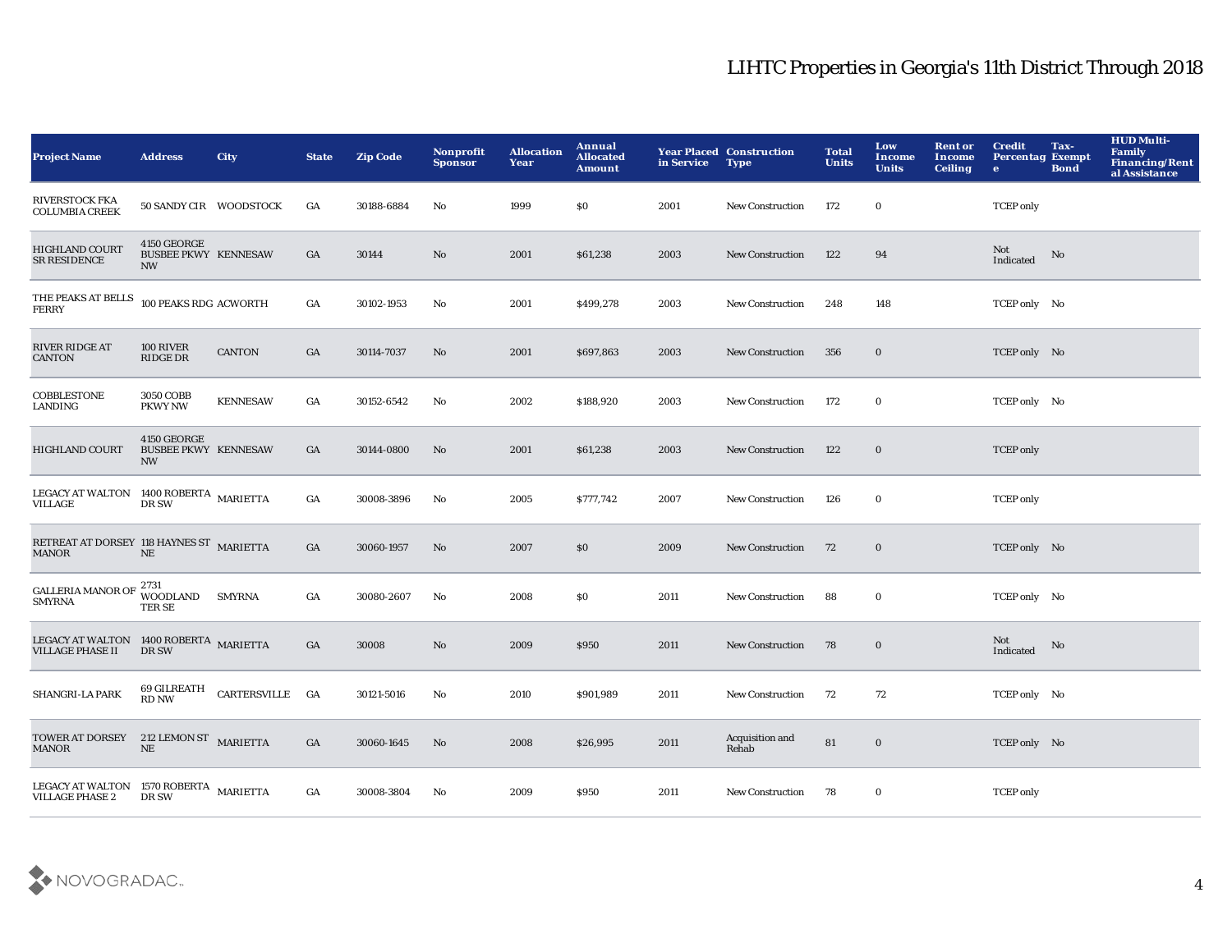| <b>Project Name</b>                                               | <b>Address</b>                                          | <b>City</b>     | <b>State</b> | <b>Zip Code</b> | Nonprofit<br><b>Sponsor</b> | <b>Allocation</b><br>Year | Annual<br><b>Allocated</b><br><b>Amount</b> | in Service | <b>Year Placed Construction</b><br><b>Type</b> | <b>Total</b><br><b>Units</b> | Low<br><b>Income</b><br><b>Units</b> | <b>Rent or</b><br>Income<br><b>Ceiling</b> | <b>Credit</b><br><b>Percentag Exempt</b><br>$\bullet$ | Tax-<br><b>Bond</b> | <b>HUD Multi-</b><br><b>Family</b><br><b>Financing/Rent</b><br>al Assistance |
|-------------------------------------------------------------------|---------------------------------------------------------|-----------------|--------------|-----------------|-----------------------------|---------------------------|---------------------------------------------|------------|------------------------------------------------|------------------------------|--------------------------------------|--------------------------------------------|-------------------------------------------------------|---------------------|------------------------------------------------------------------------------|
| <b>RIVERSTOCK FKA</b><br><b>COLUMBIA CREEK</b>                    | 50 SANDY CIR WOODSTOCK                                  |                 | GA           | 30188-6884      | No                          | 1999                      | \$0                                         | 2001       | <b>New Construction</b>                        | 172                          | $\bf{0}$                             |                                            | <b>TCEP</b> only                                      |                     |                                                                              |
| <b>HIGHLAND COURT</b><br><b>SR RESIDENCE</b>                      | 4150 GEORGE<br><b>BUSBEE PKWY KENNESAW</b><br><b>NW</b> |                 | GA           | 30144           | $\rm No$                    | 2001                      | \$61,238                                    | 2003       | <b>New Construction</b>                        | 122                          | 94                                   |                                            | Not<br>Indicated                                      | No                  |                                                                              |
| THE PEAKS AT BELLS<br><b>FERRY</b>                                | 100 PEAKS RDG ACWORTH                                   |                 | GA           | 30102-1953      | No                          | 2001                      | \$499,278                                   | 2003       | <b>New Construction</b>                        | 248                          | 148                                  |                                            | TCEP only No                                          |                     |                                                                              |
| <b>RIVER RIDGE AT</b><br><b>CANTON</b>                            | 100 RIVER<br><b>RIDGE DR</b>                            | <b>CANTON</b>   | GA           | 30114-7037      | No                          | 2001                      | \$697,863                                   | 2003       | <b>New Construction</b>                        | 356                          | $\bf{0}$                             |                                            | TCEP only No                                          |                     |                                                                              |
| COBBLESTONE<br>LANDING                                            | 3050 COBB<br><b>PKWY NW</b>                             | <b>KENNESAW</b> | GA           | 30152-6542      | No                          | 2002                      | \$188,920                                   | 2003       | <b>New Construction</b>                        | 172                          | $\bf{0}$                             |                                            | TCEP only No                                          |                     |                                                                              |
| <b>HIGHLAND COURT</b>                                             | 4150 GEORGE<br><b>BUSBEE PKWY KENNESAW</b><br><b>NW</b> |                 | GA           | 30144-0800      | No                          | 2001                      | \$61,238                                    | 2003       | <b>New Construction</b>                        | 122                          | $\bf{0}$                             |                                            | <b>TCEP</b> only                                      |                     |                                                                              |
| LEGACY AT WALTON 1400 ROBERTA MARIETTA<br><b>VILLAGE</b>          | DR SW                                                   |                 | GA           | 30008-3896      | No                          | 2005                      | \$777,742                                   | 2007       | <b>New Construction</b>                        | 126                          | $\bf{0}$                             |                                            | <b>TCEP</b> only                                      |                     |                                                                              |
| RETREAT AT DORSEY 118 HAYNES ST MARIETTA<br><b>MANOR</b>          | $\rm NE$                                                |                 | GA           | 30060-1957      | No                          | 2007                      | <b>SO</b>                                   | 2009       | <b>New Construction</b>                        | 72                           | $\bf{0}$                             |                                            | TCEP only No                                          |                     |                                                                              |
| <b>GALLERIA MANOR OF</b><br><b>SMYRNA</b>                         | 2731<br><b>WOODLAND</b><br>TER SE                       | <b>SMYRNA</b>   | GA           | 30080-2607      | No                          | 2008                      | SO.                                         | 2011       | <b>New Construction</b>                        | 88                           | $\bf{0}$                             |                                            | TCEP only No                                          |                     |                                                                              |
| LEGACY AT WALTON 1400 ROBERTA MARIETTA<br><b>VILLAGE PHASE II</b> | DR SW                                                   |                 | GA           | 30008           | No                          | 2009                      | \$950                                       | 2011       | <b>New Construction</b>                        | 78                           | $\bf{0}$                             |                                            | Not<br>Indicated                                      | $\mathbf{No}$       |                                                                              |
| SHANGRI-LA PARK                                                   | 69 GILREATH<br><b>RD NW</b>                             | CARTERSVILLE GA |              | 30121-5016      | No                          | 2010                      | \$901,989                                   | 2011       | <b>New Construction</b>                        | 72                           | 72                                   |                                            | TCEP only No                                          |                     |                                                                              |
| <b>TOWER AT DORSEY</b><br><b>MANOR</b>                            | 212 LEMON ST MARIETTA<br>$\rm{NE}$                      |                 | GA           | 30060-1645      | No                          | 2008                      | \$26,995                                    | 2011       | Acquisition and<br>Rehab                       | 81                           | $\mathbf 0$                          |                                            | TCEP only No                                          |                     |                                                                              |
| LEGACY AT WALTON 1570 ROBERTA MARIETTA<br><b>VILLAGE PHASE 2</b>  | DR SW                                                   |                 | GA           | 30008-3804      | No                          | 2009                      | <b>\$950</b>                                | 2011       | <b>New Construction</b>                        | 78                           | $\bf{0}$                             |                                            | <b>TCEP</b> only                                      |                     |                                                                              |